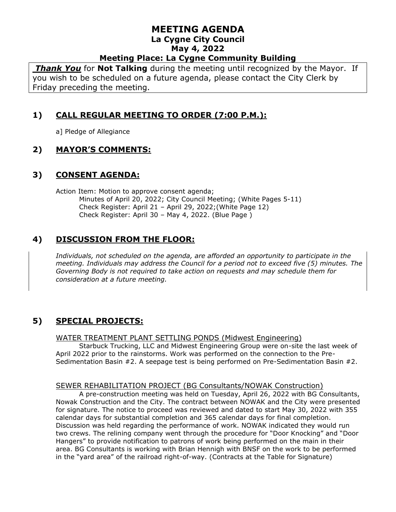### **MEETING AGENDA La Cygne City Council May 4, 2022 Meeting Place: La Cygne Community Building**

*Thank You* for **Not Talking** during the meeting until recognized by the Mayor. If you wish to be scheduled on a future agenda, please contact the City Clerk by Friday preceding the meeting.

# **1) CALL REGULAR MEETING TO ORDER (7:00 P.M.):**

a] Pledge of Allegiance

# **2) MAYOR'S COMMENTS:**

## **3) CONSENT AGENDA:**

Action Item: Motion to approve consent agenda; Minutes of April 20, 2022; City Council Meeting; (White Pages 5-11) Check Register: April 21 – April 29, 2022;(White Page 12) Check Register: April 30 – May 4, 2022. (Blue Page )

# **4) DISCUSSION FROM THE FLOOR:**

*Individuals, not scheduled on the agenda, are afforded an opportunity to participate in the meeting. Individuals may address the Council for a period not to exceed five (5) minutes. The Governing Body is not required to take action on requests and may schedule them for consideration at a future meeting.* 

# **5) SPECIAL PROJECTS:**

### WATER TREATMENT PLANT SETTLING PONDS (Midwest Engineering)

Starbuck Trucking, LLC and Midwest Engineering Group were on-site the last week of April 2022 prior to the rainstorms. Work was performed on the connection to the Pre-Sedimentation Basin #2. A seepage test is being performed on Pre-Sedimentation Basin #2.

### SEWER REHABILITATION PROJECT (BG Consultants/NOWAK Construction)

A pre-construction meeting was held on Tuesday, April 26, 2022 with BG Consultants, Nowak Construction and the City. The contract between NOWAK and the City were presented for signature. The notice to proceed was reviewed and dated to start May 30, 2022 with 355 calendar days for substantial completion and 365 calendar days for final completion. Discussion was held regarding the performance of work. NOWAK indicated they would run two crews. The relining company went through the procedure for "Door Knocking" and "Door Hangers" to provide notification to patrons of work being performed on the main in their area. BG Consultants is working with Brian Hennigh with BNSF on the work to be performed in the "yard area" of the railroad right-of-way. (Contracts at the Table for Signature)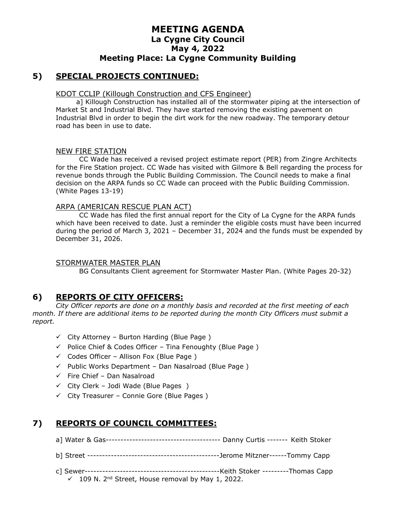## **MEETING AGENDA La Cygne City Council May 4, 2022 Meeting Place: La Cygne Community Building**

## **5) SPECIAL PROJECTS CONTINUED:**

#### KDOT CCLIP (Killough Construction and CFS Engineer)

a] Killough Construction has installed all of the stormwater piping at the intersection of Market St and Industrial Blvd. They have started removing the existing pavement on Industrial Blvd in order to begin the dirt work for the new roadway. The temporary detour road has been in use to date.

#### NEW FIRE STATION

CC Wade has received a revised project estimate report (PER) from Zingre Architects for the Fire Station project. CC Wade has visited with Gilmore & Bell regarding the process for revenue bonds through the Public Building Commission. The Council needs to make a final decision on the ARPA funds so CC Wade can proceed with the Public Building Commission. (White Pages 13-19)

#### ARPA (AMERICAN RESCUE PLAN ACT)

CC Wade has filed the first annual report for the City of La Cygne for the ARPA funds which have been received to date. Just a reminder the eligible costs must have been incurred during the period of March 3, 2021 – December 31, 2024 and the funds must be expended by December 31, 2026.

### STORMWATER MASTER PLAN

BG Consultants Client agreement for Stormwater Master Plan. (White Pages 20-32)

### **6) REPORTS OF CITY OFFICERS:**

*City Officer reports are done on a monthly basis and recorded at the first meeting of each month. If there are additional items to be reported during the month City Officers must submit a report.*

- $\checkmark$  City Attorney Burton Harding (Blue Page)
- $\checkmark$  Police Chief & Codes Officer Tina Fenoughty (Blue Page)
- $\checkmark$  Codes Officer Allison Fox (Blue Page)
- $\checkmark$  Public Works Department Dan Nasalroad (Blue Page)
- $\checkmark$  Fire Chief Dan Nasalroad
- $\checkmark$  City Clerk Jodi Wade (Blue Pages)
- ✓ City Treasurer Connie Gore (Blue Pages )

## **7) REPORTS OF COUNCIL COMMITTEES:**

- a] Water & Gas--------------------------------------- Danny Curtis ------- Keith Stoker
- b] Street ---------------------------------------------Jerome Mitzner------Tommy Capp
- c] Sewer----------------------------------------------Keith Stoker ---------Thomas Capp  $\checkmark$  109 N. 2<sup>nd</sup> Street, House removal by May 1, 2022.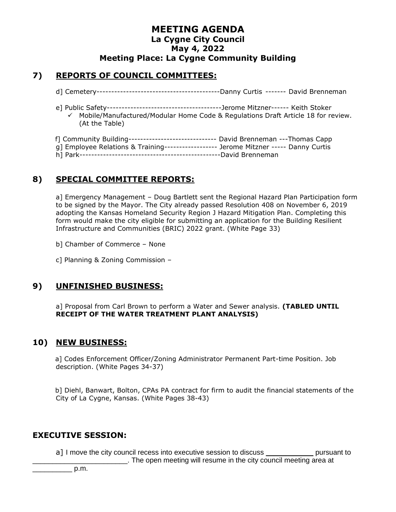## **MEETING AGENDA La Cygne City Council May 4, 2022 Meeting Place: La Cygne Community Building**

## **7) REPORTS OF COUNCIL COMMITTEES:**

- d] Cemetery------------------------------------------Danny Curtis ------- David Brenneman
- e] Public Safety---------------------------------------Jerome Mitzner------ Keith Stoker ✓ Mobile/Manufactured/Modular Home Code & Regulations Draft Article 18 for review. (At the Table)

| f] Community Building------------------------------- David Brenneman ---Thomas Capp  |  |
|--------------------------------------------------------------------------------------|--|
|                                                                                      |  |
| g] Employee Relations & Training------------------ Jerome Mitzner ----- Danny Curtis |  |
|                                                                                      |  |
|                                                                                      |  |

## **8) SPECIAL COMMITTEE REPORTS:**

a] Emergency Management – Doug Bartlett sent the Regional Hazard Plan Participation form to be signed by the Mayor. The City already passed Resolution 408 on November 6, 2019 adopting the Kansas Homeland Security Region J Hazard Mitigation Plan. Completing this form would make the city eligible for submitting an application for the Building Resilient Infrastructure and Communities (BRIC) 2022 grant. (White Page 33)

b] Chamber of Commerce – None

c] Planning & Zoning Commission –

### **9) UNFINISHED BUSINESS:**

a] Proposal from Carl Brown to perform a Water and Sewer analysis. **(TABLED UNTIL RECEIPT OF THE WATER TREATMENT PLANT ANALYSIS)**

### **10) NEW BUSINESS:**

a] Codes Enforcement Officer/Zoning Administrator Permanent Part-time Position. Job description. (White Pages 34-37)

b] Diehl, Banwart, Bolton, CPAs PA contract for firm to audit the financial statements of the City of La Cygne, Kansas. (White Pages 38-43)

### **EXECUTIVE SESSION:**

a] I move the city council recess into executive session to discuss \_\_\_\_\_\_\_\_\_\_\_\_\_ pursuant to \_\_\_\_\_\_\_\_\_\_\_\_\_\_\_\_\_\_\_\_\_\_\_\_. The open meeting will resume in the city council meeting area at

 $p.m.$